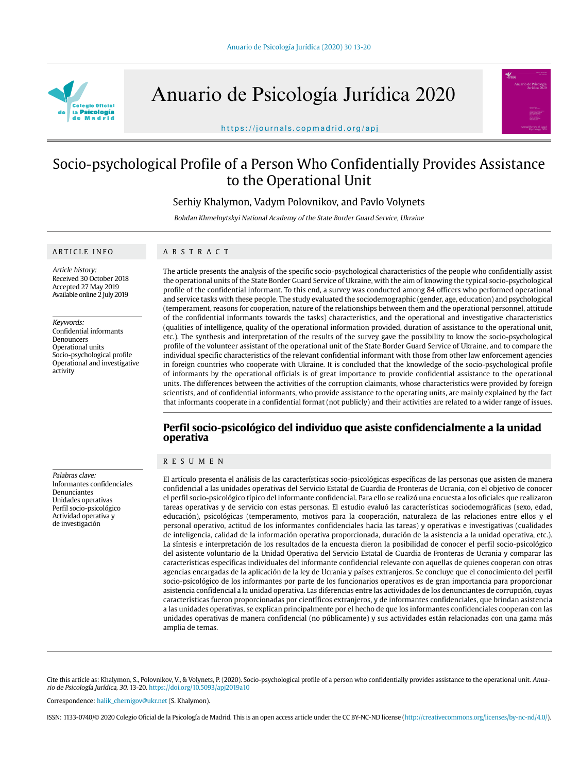

Anuario de Psicología Jurídica 2020



https://journals.copmadrid.org/apj

# Socio-psychological Profile of a Person Who Confidentially Provides Assistance to the Operational Unit

Serhiy Khalymon, Vadym Polovnikov, and Pavlo Volynets

Bohdan Khmelnytskyi National Academy of the State Border Guard Service, Ukraine

#### ARTICLE INFO

# ABSTRACT

Article history: Received 30 October 2018 Accepted 27 May 2019 Available online 2 July 2019

Keywords: Confidential informants Denouncers Operational units Socio-psychological profile Operational and investigative activity

Palabras clave: Informantes confidenciales Denunciantes Unidades operativas Perfil socio-psicológico Actividad operativa y de investigación

The article presents the analysis of the specific socio-psychological characteristics of the people who confidentially assist the operational units of the State Border Guard Service of Ukraine, with the aim of knowing the typical socio-psychological profile of the confidential informant. To this end, a survey was conducted among 84 officers who performed operational and service tasks with these people. The study evaluated the sociodemographic (gender, age, education) and psychological (temperament, reasons for cooperation, nature of the relationships between them and the operational personnel, attitude of the confidential informants towards the tasks) characteristics, and the operational and investigative characteristics (qualities of intelligence, quality of the operational information provided, duration of assistance to the operational unit, etc.). The synthesis and interpretation of the results of the survey gave the possibility to know the socio-psychological profile of the volunteer assistant of the operational unit of the State Border Guard Service of Ukraine, and to compare the individual specific characteristics of the relevant confidential informant with those from other law enforcement agencies in foreign countries who cooperate with Ukraine. It is concluded that the knowledge of the socio-psychological profile of informants by the operational officials is of great importance to provide confidential assistance to the operational units. The differences between the activities of the corruption claimants, whose characteristics were provided by foreign scientists, and of confidential informants, who provide assistance to the operating units, are mainly explained by the fact that informants cooperate in a confidential format (not publicly) and their activities are related to a wider range of issues.

# **Perfil socio-psicológico del individuo que asiste confidencialmente a la unidad operativa**

# RESUMEN

El artículo presenta el análisis de las características socio-psicológicas específicas de las personas que asisten de manera confidencial a las unidades operativas del Servicio Estatal de Guardia de Fronteras de Ucrania, con el objetivo de conocer el perfil socio-psicológico típico del informante confidencial. Para ello se realizó una encuesta a los oficiales que realizaron tareas operativas y de servicio con estas personas. El estudio evaluó las características sociodemográficas (sexo, edad, educación), psicológicas (temperamento, motivos para la cooperación, naturaleza de las relaciones entre ellos y el personal operativo, actitud de los informantes confidenciales hacia las tareas) y operativas e investigativas (cualidades de inteligencia, calidad de la información operativa proporcionada, duración de la asistencia a la unidad operativa, etc.). La síntesis e interpretación de los resultados de la encuesta dieron la posibilidad de conocer el perfil socio-psicológico del asistente voluntario de la Unidad Operativa del Servicio Estatal de Guardia de Fronteras de Ucrania y comparar las características específicas individuales del informante confidencial relevante con aquellas de quienes cooperan con otras agencias encargadas de la aplicación de la ley de Ucrania y países extranjeros. Se concluye que el conocimiento del perfil socio-psicológico de los informantes por parte de los funcionarios operativos es de gran importancia para proporcionar asistencia confidencial a la unidad operativa. Las diferencias entre las actividades de los denunciantes de corrupción, cuyas características fueron proporcionadas por científicos extranjeros, y de informantes confidenciales, que brindan asistencia a las unidades operativas, se explican principalmente por el hecho de que los informantes confidenciales cooperan con las unidades operativas de manera confidencial (no públicamente) y sus actividades están relacionadas con una gama más amplia de temas.

Cite this article as: Khalymon, S., Polovnikov, V., & Volynets, P. (2020). Socio-psychological profile of a person who confidentially provides assistance to the operational unit. Anuario de Psicología Jurídica, 30, 13-20. https://doi.org/10.5093/apj2019a10

Correspondence: halik\_chernigov@ukr.net (S. Khalymon).

ISSN: 1133-0740/© 2020 Colegio Oficial de la Psicología de Madrid. This is an open access article under the CC BY-NC-ND license (http://creativecommons.org/licenses/by-nc-nd/4.0/).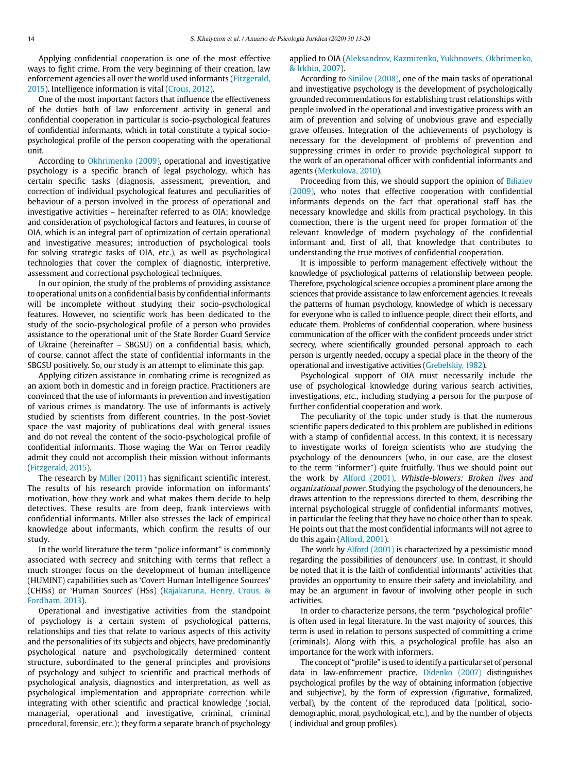Applying confidential cooperation is one of the most effective ways to fight crime. From the very beginning of their creation, law enforcement agencies all over the world used informants (Fitzgerald, 2015). Intelligence information is vital (Crous, 2012).

One of the most important factors that influence the effectiveness of the duties both of law enforcement activity in general and confidential cooperation in particular is socio-psychological features of confidential informants, which in total constitute a typical sociopsychological profile of the person cooperating with the operational unit.

According to Okhrimenko (2009), operational and investigative psychology is a specific branch of legal psychology, which has certain specific tasks (diagnosis, assessment, prevention, and correction of individual psychological features and peculiarities of behaviour of a person involved in the process of operational and investigative activities – hereinafter referred to as OIA; knowledge and consideration of psychological factors and features, in course of OIA, which is an integral part of optimization of certain operational and investigative measures; introduction of psychological tools for solving strategic tasks of OIA, etc.), as well as psychological technologies that cover the complex of diagnostic, interpretive, assessment and correctional psychological techniques.

In our opinion, the study of the problems of providing assistance to operational units on a confidential basis by confidential informants will be incomplete without studying their socio-psychological features. However, no scientific work has been dedicated to the study of the socio-psychological profile of a person who provides assistance to the operational unit of the State Border Guard Service of Ukraine (hereinafter – SBGSU) on a confidential basis, which, of course, cannot affect the state of confidential informants in the SBGSU positively. So, our study is an attempt to eliminate this gap.

Applying citizen assistance in combating crime is recognized as an axiom both in domestic and in foreign practice. Practitioners are convinced that the use of informants in prevention and investigation of various crimes is mandatory. The use of informants is actively studied by scientists from different countries. In the post-Soviet space the vast majority of publications deal with general issues and do not reveal the content of the socio-psychological profile of confidential informants. Those waging the War on Terror readily admit they could not accomplish their mission without informants (Fitzgerald, 2015).

The research by Miller (2011) has significant scientific interest. The results of his research provide information on informants' motivation, how they work and what makes them decide to help detectives. These results are from deep, frank interviews with confidential informants. Miller also stresses the lack of empirical knowledge about informants, which confirm the results of our study.

In the world literature the term "police informant" is commonly associated with secrecy and snitching with terms that reflect a much stronger focus on the development of human intelligence (HUMINT) capabilities such as 'Covert Human Intelligence Sources' (CHISs) or 'Human Sources' (HSs) (Rajakaruna, Henry, Crous, & Fordham, 2013).

Operational and investigative activities from the standpoint of psychology is a certain system of psychological patterns, relationships and ties that relate to various aspects of this activity and the personalities of its subjects and objects, have predominantly psychological nature and psychologically determined content structure, subordinated to the general principles and provisions of psychology and subject to scientific and practical methods of psychological analysis, diagnostics and interpretation, as well as psychological implementation and appropriate correction while integrating with other scientific and practical knowledge (social, managerial, operational and investigative, criminal, criminal procedural, forensic, etc.); they form a separate branch of psychology

# applied to OIA (Aleksandrov, Kazmirenko, Yukhnovets, Okhrimenko, & Irkhin, 2007).

According to Sinilov (2008), one of the main tasks of operational and investigative psychology is the development of psychologically grounded recommendations for establishing trust relationships with people involved in the operational and investigative process with an aim of prevention and solving of unobvious grave and especially grave offenses. Integration of the achievements of psychology is necessary for the development of problems of prevention and suppressing crimes in order to provide psychological support to the work of an operational officer with confidential informants and agents (Merkulova, 2010).

Proceeding from this, we should support the opinion of Biliaiev (2009), who notes that effective cooperation with confidential informants depends on the fact that operational staff has the necessary knowledge and skills from practical psychology. In this connection, there is the urgent need for proper formation of the relevant knowledge of modern psychology of the confidential informant and, first of all, that knowledge that contributes to understanding the true motives of confidential cooperation.

It is impossible to perform management effectively without the knowledge of psychological patterns of relationship between people. Therefore, psychological science occupies a prominent place among the sciences that provide assistance to law enforcement agencies. It reveals the patterns of human psychology, knowledge of which is necessary for everyone who is called to influence people, direct their efforts, and educate them. Problems of confidential cooperation, where business communication of the officer with the confident proceeds under strict secrecy, where scientifically grounded personal approach to each person is urgently needed, occupy a special place in the theory of the operational and investigative activities (Grebelskiy, 1982).

Psychological support of OIA must necessarily include the use of psychological knowledge during various search activities, investigations, etc., including studying a person for the purpose of further confidential cooperation and work.

The peculiarity of the topic under study is that the numerous scientific papers dedicated to this problem are published in editions with a stamp of confidential access. In this context, it is necessary to investigate works of foreign scientists who are studying the psychology of the denouncers (who, in our case, are the closest to the term "informer") quite fruitfully. Thus we should point out the work by Alford (2001), Whistle-blowers: Broken lives and organizational power. Studying the psychology of the denouncers, he draws attention to the repressions directed to them, describing the internal psychological struggle of confidential informants' motives, in particular the feeling that they have no choice other than to speak. He points out that the most confidential informants will not agree to do this again (Alford, 2001).

The work by Alford (2001) is characterized by a pessimistic mood regarding the possibilities of denouncers' use. In contrast, it should be noted that it is the faith of confidential informants' activities that provides an opportunity to ensure their safety and inviolability, and may be an argument in favour of involving other people in such activities.

In order to characterize persons, the term "psychological profile" is often used in legal literature. In the vast majority of sources, this term is used in relation to persons suspected of committing a crime (criminals). Along with this, a psychological profile has also an importance for the work with informers.

The concept of "profile" is used to identify a particular set of personal data in law-enforcement practice. Didenko (2007) distinguishes psychological profiles by the way of obtaining information (objective and subjective), by the form of expression (figurative, formalized, verbal), by the content of the reproduced data (political, sociodemographic, moral, psychological, etc.), and by the number of objects ( individual and group profiles).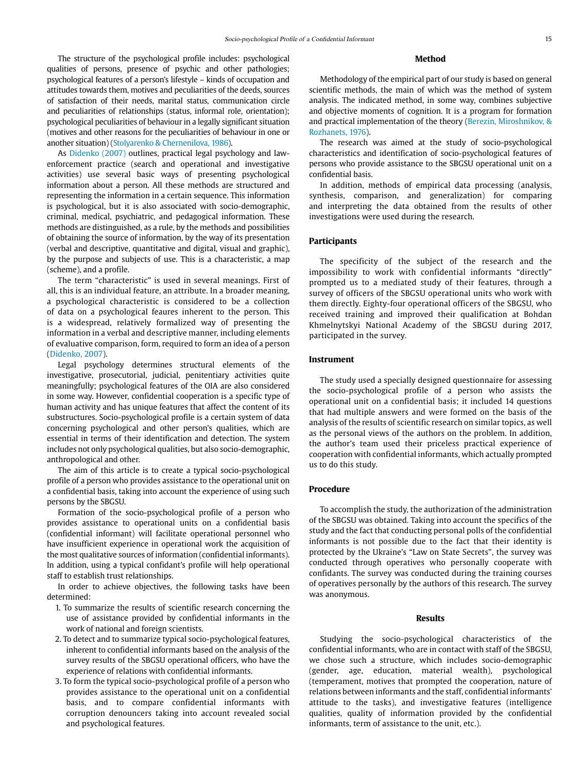The structure of the psychological profile includes: psychological qualities of persons, presence of psychic and other pathologies; psychological features of a person's lifestyle – kinds of occupation and attitudes towards them, motives and peculiarities of the deeds, sources of satisfaction of their needs, marital status, communication circle and peculiarities of relationships (status, informal role, orientation); psychological peculiarities of behaviour in a legally significant situation (motives and other reasons for the peculiarities of behaviour in one or another situation) (Stolyarenko & Chernenilova, 1986).

As Didenko (2007) outlines, practical legal psychology and lawenforcement practice (search and operational and investigative activities) use several basic ways of presenting psychological information about a person. All these methods are structured and representing the information in a certain sequence. This information is psychological, but it is also associated with socio-demographic, criminal, medical, psychiatric, and pedagogical information. These methods are distinguished, as a rule, by the methods and possibilities of obtaining the source of information, by the way of its presentation (verbal and descriptive, quantitative and digital, visual and graphic), by the purpose and subjects of use. This is a characteristic, a map (scheme), and a profile.

The term "characteristic" is used in several meanings. First of all, this is an individual feature, an attribute. In a broader meaning, a psychological characteristic is considered to be a collection of data on a psychological feaures inherent to the person. This is a widespread, relatively formalized way of presenting the information in a verbal and descriptive manner, including elements of evaluative comparison, form, required to form an idea of a person (Didenko, 2007).

Legal psychology determines structural elements of the investigative, prosecutorial, judicial, penitentiary activities quite meaningfully; psychological features of the OIA are also considered in some way. However, confidential cooperation is a specific type of human activity and has unique features that affect the content of its substructures. Socio-psychological profile is a certain system of data concerning psychological and other person's qualities, which are essential in terms of their identification and detection. The system includes not only psychological qualities, but also socio-demographic, anthropological and other.

The aim of this article is to create a typical socio-psychological profile of a person who provides assistance to the operational unit on a confidential basis, taking into account the experience of using such persons by the SBGSU.

Formation of the socio-psychological profile of a person who provides assistance to operational units on a confidential basis (confidential informant) will facilitate operational personnel who have insufficient experience in operational work the acquisition of the most qualitative sources of information (confidential informants). In addition, using a typical confidant's profile will help operational staff to establish trust relationships.

In order to achieve objectives, the following tasks have been determined:

- 1. To summarize the results of scientific research concerning the use of assistance provided by confidential informants in the work of national and foreign scientists.
- 2. To detect and to summarize typical socio-psychological features, inherent to confidential informants based on the analysis of the survey results of the SBGSU operational officers, who have the experience of relations with confidential informants.
- 3. To form the typical socio-psychological profile of a person who provides assistance to the operational unit on a confidential basis, and to compare confidential informants with corruption denouncers taking into account revealed social and psychological features.

# **Method**

Methodology of the empirical part of our study is based on general scientific methods, the main of which was the method of system analysis. The indicated method, in some way, combines subjective and objective moments of cognition. It is a program for formation and practical implementation of the theory (Berezin, Miroshnikov, & Rozhanets, 1976).

The research was aimed at the study of socio-psychological characteristics and identification of socio-psychological features of persons who provide assistance to the SBGSU operational unit on a confidential basis.

In addition, methods of empirical data processing (analysis, synthesis, comparison, and generalization) for comparing and interpreting the data obtained from the results of other investigations were used during the research.

#### **Participants**

The specificity of the subject of the research and the impossibility to work with confidential informants "directly" prompted us to a mediated study of their features, through a survey of officers of the SBGSU operational units who work with them directly. Eighty-four operational officers of the SBGSU, who received training and improved their qualification at Bohdan Khmelnytskyi National Academy of the SBGSU during 2017, participated in the survey.

# **Instrument**

The study used a specially designed questionnaire for assessing the socio-psychological profile of a person who assists the operational unit on a confidential basis; it included 14 questions that had multiple answers and were formed on the basis of the analysis of the results of scientific research on similar topics, as well as the personal views of the authors on the problem. In addition, the author's team used their priceless practical experience of cooperation with confidential informants, which actually prompted us to do this study.

# **Procedure**

To accomplish the study, the authorization of the administration of the SBGSU was obtained. Taking into account the specifics of the study and the fact that conducting personal polls of the confidential informants is not possible due to the fact that their identity is protected by the Ukraine's "Law on State Secrets", the survey was conducted through operatives who personally cooperate with confidants. The survey was conducted during the training courses of operatives personally by the authors of this research. The survey was anonymous.

#### **Results**

Studying the socio-psychological characteristics of the confidential informants, who are in contact with staff of the SBGSU, we chose such a structure, which includes socio-demographic (gender, age, education, material wealth), psychological (temperament, motives that prompted the cooperation, nature of relations between informants and the staff, confidential informants' attitude to the tasks), and investigative features (intelligence qualities, quality of information provided by the confidential informants, term of assistance to the unit, etc.).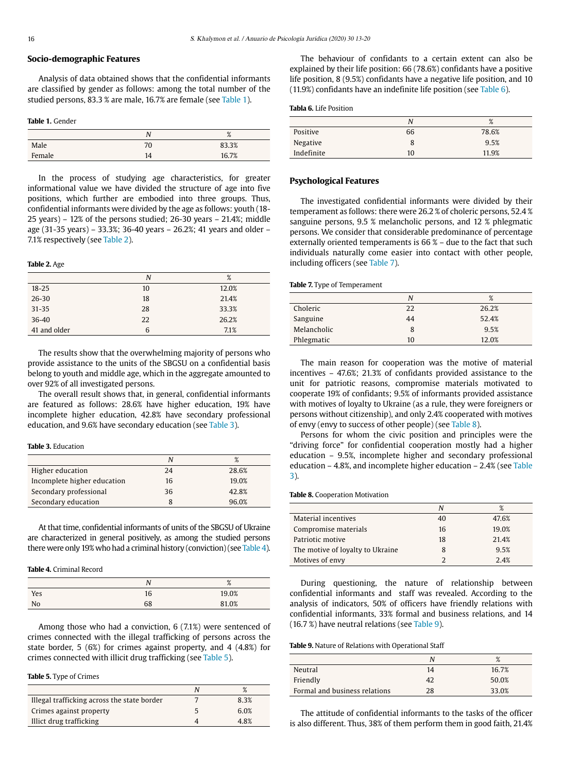# **Socio-demographic Features**

Analysis of data obtained shows that the confidential informants are classified by gender as follows: among the total number of the studied persons, 83.3 % are male, 16.7% are female (see Table 1).

#### **Table 1.** Gender

|        | N  | O/<br>70 |
|--------|----|----------|
| Male   | 70 | 83.3%    |
| Female | 14 | 16.7%    |

In the process of studying age characteristics, for greater informational value we have divided the structure of age into five positions, which further are embodied into three groups. Thus, confidential informants were divided by the age as follows: youth (18- 25 years) – 12% of the persons studied; 26-30 years – 21.4%; middle age (31-35 years) – 33.3%; 36-40 years – 26.2%; 41 years and older – 7.1% respectively (see Table 2).

#### **Table 2.** Age

|              | N  | %     |  |
|--------------|----|-------|--|
| $18 - 25$    | 10 | 12.0% |  |
| $26 - 30$    | 18 | 21.4% |  |
| $31 - 35$    | 28 | 33.3% |  |
| $36 - 40$    | 22 | 26.2% |  |
| 41 and older | 6  | 7.1%  |  |

The results show that the overwhelming majority of persons who provide assistance to the units of the SBGSU on a confidential basis belong to youth and middle age, which in the aggregate amounted to over 92% of all investigated persons.

The overall result shows that, in general, confidential informants are featured as follows: 28.6% have higher education, 19% have incomplete higher education, 42.8% have secondary professional education, and 9.6% have secondary education (see Table 3).

#### **Table 3.** Education

|                             | N  | %     |
|-----------------------------|----|-------|
| Higher education            | 24 | 28.6% |
| Incomplete higher education | 16 | 19.0% |
| Secondary professional      | 36 | 42.8% |
| Secondary education         | 8  | 96.0% |

At that time, confidential informants of units of the SBGSU of Ukraine are characterized in general positively, as among the studied persons there were only 19% who had a criminal history (conviction) (see Table 4).

## **Table 4.** Criminal Record

|     |    | $\mathsf{o}$<br>$\sqrt{\circ}$ |
|-----|----|--------------------------------|
| Yes | 16 | 19.0%                          |
| No  | 68 | 81.0%                          |

Among those who had a conviction, 6 (7.1%) were sentenced of crimes connected with the illegal trafficking of persons across the state border, 5 (6%) for crimes against property, and 4 (4.8%) for crimes connected with illicit drug trafficking (see Table 5).

#### **Table 5.** Type of Crimes

|                                             | $\mathsf{o}$ |
|---------------------------------------------|--------------|
| Illegal trafficking across the state border | 8.3%         |
| Crimes against property                     | 6.0%         |
| Illict drug trafficking                     | 4.8%         |

The behaviour of confidants to a certain extent can also be explained by their life position: 66 (78.6%) confidants have a positive life position, 8 (9.5%) confidants have a negative life position, and 10 (11.9%) confidants have an indefinite life position (see Table 6).

# **Tabla 6.** Life Position

|            | N  | %     |
|------------|----|-------|
| Positive   | 66 | 78.6% |
| Negative   | 8  | 9.5%  |
| Indefinite | 10 | 11.9% |

# **Psychological Features**

The investigated confidential informants were divided by their temperament as follows: there were 26.2 % of choleric persons, 52.4 % sanguine persons, 9.5 % melancholic persons, and 12 % phlegmatic persons. We consider that considerable predominance of percentage externally oriented temperaments is 66 % – due to the fact that such individuals naturally come easier into contact with other people, including officers (see Table 7).

#### **Table 7.** Type of Temperament

|             | N  | %     |
|-------------|----|-------|
| Choleric    | 22 | 26.2% |
| Sanguine    | 44 | 52.4% |
| Melancholic | 8  | 9.5%  |
| Phlegmatic  | 10 | 12.0% |

The main reason for cooperation was the motive of material incentives – 47.6%; 21.3% of confidants provided assistance to the unit for patriotic reasons, compromise materials motivated to cooperate 19% of confidants; 9.5% of informants provided assistance with motives of loyalty to Ukraine (as a rule, they were foreigners or persons without citizenship), and only 2.4% cooperated with motives of envy (envy to success of other people) (see Table 8).

Persons for whom the civic position and principles were the "driving force" for confidential cooperation mostly had a higher education – 9.5%, incomplete higher and secondary professional education – 4.8%, and incomplete higher education – 2.4% (see Table 3).

**Table 8.** Cooperation Motivation

|                                  | N  | %     |
|----------------------------------|----|-------|
| Material incentives              | 40 | 47.6% |
| Compromise materials             | 16 | 19.0% |
| Patriotic motive                 | 18 | 21.4% |
| The motive of loyalty to Ukraine | 8  | 9.5%  |
| Motives of envy                  |    | 2.4%  |

During questioning, the nature of relationship between confidential informants and staff was revealed. According to the analysis of indicators, 50% of officers have friendly relations with confidential informants, 33% formal and business relations, and 14 (16.7 %) have neutral relations (see Table 9).

# **Table 9.** Nature of Relations with Operational Staff

|                               |    | %     |
|-------------------------------|----|-------|
| Neutral                       | 14 | 16.7% |
| Friendly                      | 42 | 50.0% |
| Formal and business relations | 28 | 33.0% |

The attitude of confidential informants to the tasks of the officer is also different. Thus, 38% of them perform them in good faith, 21.4%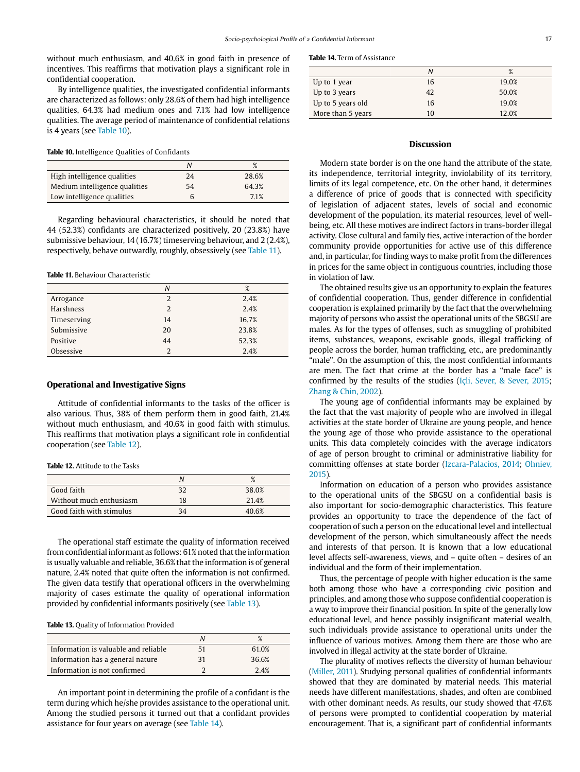without much enthusiasm, and 40.6% in good faith in presence of incentives. This reaffirms that motivation plays a significant role in confidential cooperation.

By intelligence qualities, the investigated confidential informants are characterized as follows: only 28.6% of them had high intelligence qualities, 64.3% had medium ones and 7.1% had low intelligence qualities. The average period of maintenance of confidential relations is 4 years (see Table 10).

**Table 10.** Intelligence Qualities of Confidants

|                               | Ν  | %     |
|-------------------------------|----|-------|
| High intelligence qualities   | 24 | 28.6% |
| Medium intelligence qualities | 54 | 64.3% |
| Low intelligence qualities    |    | 7.1%  |

Regarding behavioural characteristics, it should be noted that 44 (52.3%) confidants are characterized positively, 20 (23.8%) have submissive behaviour, 14 (16.7%) timeserving behaviour, and 2 (2.4%), respectively, behave outwardly, roughly, obsessively (see Table 11).

**Table 11.** Behaviour Characteristic

|             | N  | %     |
|-------------|----|-------|
| Arrogance   | 2  | 2.4%  |
| Harshness   | 2  | 2.4%  |
| Timeserving | 14 | 16.7% |
| Submissive  | 20 | 23.8% |
| Positive    | 44 | 52.3% |
| Obsessive   | っ  | 2.4%  |

## **Operational and Investigative Signs**

Attitude of confidential informants to the tasks of the officer is also various. Thus, 38% of them perform them in good faith, 21.4% without much enthusiasm, and 40.6% in good faith with stimulus. This reaffirms that motivation plays a significant role in confidential cooperation (see Table 12).

**Table 12.** Attitude to the Tasks

|                          |    | %     |
|--------------------------|----|-------|
| Good faith               | 32 | 38.0% |
| Without much enthusiasm  | 18 | 21.4% |
| Good faith with stimulus | 34 | 40.6% |

The operational staff estimate the quality of information received from confidential informant as follows: 61% noted that the information is usually valuable and reliable, 36.6% that the information is of general nature, 2.4% noted that quite often the information is not confirmed. The given data testify that operational officers in the overwhelming majority of cases estimate the quality of operational information provided by confidential informants positively (see Table 13).

**Table 13.** Quality of Information Provided

| Information is valuable and reliable | 51 | 61.0% |
|--------------------------------------|----|-------|
| Information has a general nature     | 31 | 36.6% |
| Information is not confirmed         |    | 2.4%  |

An important point in determining the profile of a confidant is the term during which he/she provides assistance to the operational unit. Among the studied persons it turned out that a confidant provides assistance for four years on average (see Table 14).

**Table 14.** Term of Assistance

|                   | N  | %     |
|-------------------|----|-------|
| Up to 1 year      | 16 | 19.0% |
| Up to 3 years     | 42 | 50.0% |
| Up to 5 years old | 16 | 19.0% |
| More than 5 years | 10 | 12.0% |

## **Discussion**

Modern state border is on the one hand the attribute of the state, its independence, territorial integrity, inviolability of its territory, limits of its legal competence, etc. On the other hand, it determines a difference of price of goods that is connected with specificity of legislation of adjacent states, levels of social and economic development of the population, its material resources, level of wellbeing, etc. All these motives are indirect factors in trans-border illegal activity. Close cultural and family ties, active interaction of the border community provide opportunities for active use of this difference and, in particular, for finding ways to make profit from the differences in prices for the same object in contiguous countries, including those in violation of law.

The obtained results give us an opportunity to explain the features of confidential cooperation. Thus, gender difference in confidential cooperation is explained primarily by the fact that the overwhelming majority of persons who assist the operational units of the SBGSU are males. As for the types of offenses, such as smuggling of prohibited items, substances, weapons, excisable goods, illegal trafficking of people across the border, human trafficking, etc., are predominantly "male". On the assumption of this, the most confidential informants are men. The fact that crime at the border has a "male face" is confirmed by the results of the studies (Içli, Sever, & Sever, 2015; Zhang & Chin, 2002).

The young age of confidential informants may be explained by the fact that the vast majority of people who are involved in illegal activities at the state border of Ukraine are young people, and hence the young age of those who provide assistance to the operational units. This data completely coincides with the average indicators of age of person brought to criminal or administrative liability for committing offenses at state border (Izcara-Palacios, 2014; Ohniev, 2015).

Information on education of a person who provides assistance to the operational units of the SBGSU on a confidential basis is also important for socio-demographic characteristics. This feature provides an opportunity to trace the dependence of the fact of cooperation of such a person on the educational level and intellectual development of the person, which simultaneously affect the needs and interests of that person. It is known that a low educational level affects self-awareness, views, and – quite often – desires of an individual and the form of their implementation.

Thus, the percentage of people with higher education is the same both among those who have a corresponding civic position and principles, and among those who suppose confidential cooperation is a way to improve their financial position. In spite of the generally low educational level, and hence possibly insignificant material wealth, such individuals provide assistance to operational units under the influence of various motives. Among them there are those who are involved in illegal activity at the state border of Ukraine.

The plurality of motives reflects the diversity of human behaviour (Miller, 2011). Studying personal qualities of confidential informants showed that they are dominated by material needs. This material needs have different manifestations, shades, and often are combined with other dominant needs. As results, our study showed that 47.6% of persons were prompted to confidential cooperation by material encouragement. That is, a significant part of confidential informants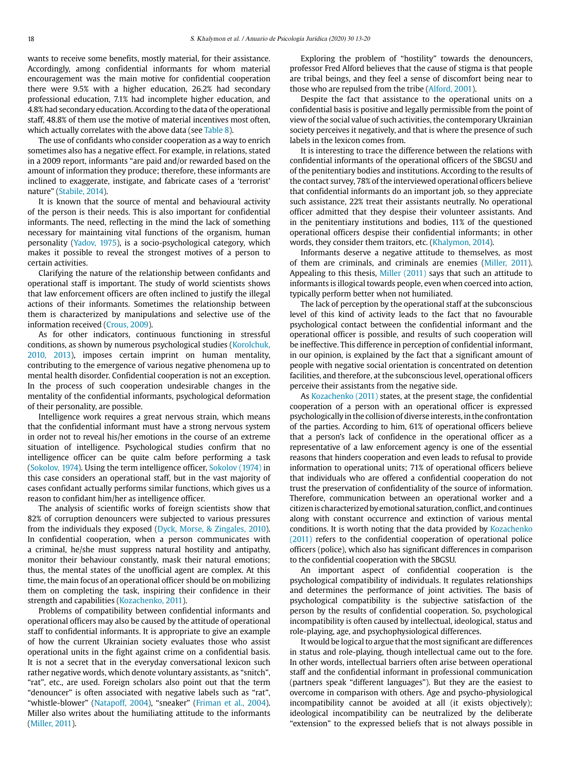wants to receive some benefits, mostly material, for their assistance. Accordingly, among confidential informants for whom material encouragement was the main motive for confidential cooperation there were 9.5% with a higher education, 26.2% had secondary professional education, 7.1% had incomplete higher education, and 4.8% had secondary education. According to the data of the operational staff, 48.8% of them use the motive of material incentives most often, which actually correlates with the above data (see Table 8).

The use of confidants who consider cooperation as a way to enrich sometimes also has a negative effect. For example, in relations, stated in a 2009 report, informants "are paid and/or rewarded based on the amount of information they produce; therefore, these informants are inclined to exaggerate, instigate, and fabricate cases of a 'terrorist' nature" (Stabile, 2014).

It is known that the source of mental and behavioural activity of the person is their needs. This is also important for confidential informants. The need, reflecting in the mind the lack of something necessary for maintaining vital functions of the organism, human personality (Yadov, 1975), is a socio-psychological category, which makes it possible to reveal the strongest motives of a person to certain activities.

Clarifying the nature of the relationship between confidants and operational staff is important. The study of world scientists shows that law enforcement officers are often inclined to justify the illegal actions of their informants. Sometimes the relationship between them is characterized by manipulations and selective use of the information received (Crous, 2009).

As for other indicators, continuous functioning in stressful conditions, as shown by numerous psychological studies (Korolchuk, 2010, 2013), imposes certain imprint on human mentality, contributing to the emergence of various negative phenomena up to mental health disorder. Confidential cooperation is not an exception. In the process of such cooperation undesirable changes in the mentality of the confidential informants, psychological deformation of their personality, are possible.

Intelligence work requires a great nervous strain, which means that the confidential informant must have a strong nervous system in order not to reveal his/her emotions in the course of an extreme situation of intelligence. Psychological studies confirm that no intelligence officer can be quite calm before performing a task (Sokolov, 1974). Using the term intelligence officer, Sokolov (1974) in this case considers an operational staff, but in the vast majority of cases confidant actually performs similar functions, which gives us a reason to confidant him/her as intelligence officer.

The analysis of scientific works of foreign scientists show that 82% of corruption denouncers were subjected to various pressures from the individuals they exposed (Dyck, Morse, & Zingales, 2010). In confidential cooperation, when a person communicates with a criminal, he/she must suppress natural hostility and antipathy, monitor their behaviour constantly, mask their natural emotions; thus, the mental states of the unofficial agent are complex. At this time, the main focus of an operational officer should be on mobilizing them on completing the task, inspiring their confidence in their strength and capabilities (Kozachenko, 2011).

Problems of compatibility between confidential informants and operational officers may also be caused by the attitude of operational staff to confidential informants. It is appropriate to give an example of how the current Ukrainian society evaluates those who assist operational units in the fight against crime on a confidential basis. It is not a secret that in the everyday conversational lexicon such rather negative words, which denote voluntary assistants, as "snitch", "rat", etc., are used. Foreign scholars also point out that the term "denouncer" is often associated with negative labels such as "rat", "whistle-blower" (Natapoff, 2004), "sneaker" (Friman et al., 2004). Miller also writes about the humiliating attitude to the informants (Miller, 2011).

Exploring the problem of "hostility" towards the denouncers, professor Fred Alford believes that the cause of stigma is that people are tribal beings, and they feel a sense of discomfort being near to those who are repulsed from the tribe (Alford, 2001).

Despite the fact that assistance to the operational units on a confidential basis is positive and legally permissible from the point of view of the social value of such activities, the contemporary Ukrainian society perceives it negatively, and that is where the presence of such labels in the lexicon comes from.

It is interesting to trace the difference between the relations with confidential informants of the operational officers of the SBGSU and of the penitentiary bodies and institutions. According to the results of the contact survey, 78% of the interviewed operational officers believe that confidential informants do an important job, so they appreciate such assistance, 22% treat their assistants neutrally. No operational officer admitted that they despise their volunteer assistants. And in the penitentiary institutions and bodies, 11% of the questioned operational officers despise their confidential informants; in other words, they consider them traitors, etc. (Khalymon, 2014).

Informants deserve a negative attitude to themselves, as most of them are criminals, and criminals are enemies (Miller, 2011). Appealing to this thesis, Miller (2011) says that such an attitude to informants is illogical towards people, even when coerced into action, typically perform better when not humiliated.

The lack of perception by the operational staff at the subconscious level of this kind of activity leads to the fact that no favourable psychological contact between the confidential informant and the operational officer is possible, and results of such cooperation will be ineffective. This difference in perception of confidential informant, in our opinion, is explained by the fact that a significant amount of people with negative social orientation is concentrated on detention facilities, and therefore, at the subconscious level, operational officers perceive their assistants from the negative side.

As Kozachenko (2011) states, at the present stage, the confidential cooperation of a person with an operational officer is expressed psychologically in the collision of diverse interests, in the confrontation of the parties. According to him, 61% of operational officers believe that a person's lack of confidence in the operational officer as a representative of a law enforcement agency is one of the essential reasons that hinders cooperation and even leads to refusal to provide information to operational units; 71% of operational officers believe that individuals who are offered a confidential cooperation do not trust the preservation of confidentiality of the source of information. Therefore, communication between an operational worker and a citizen is characterized by emotional saturation, conflict, and continues along with constant occurrence and extinction of various mental conditions. It is worth noting that the data provided by Kozachenko (2011) refers to the confidential cooperation of operational police officers (police), which also has significant differences in comparison to the confidential cooperation with the SBGSU.

An important aspect of confidential cooperation is the psychological compatibility of individuals. It regulates relationships and determines the performance of joint activities. The basis of psychological compatibility is the subjective satisfaction of the person by the results of confidential cooperation. So, psychological incompatibility is often caused by intellectual, ideological, status and role-playing, age, and psychophysiological differences.

It would be logical to argue that the most significant are differences in status and role-playing, though intellectual came out to the fore. In other words, intellectual barriers often arise between operational staff and the confidential informant in professional communication (partners speak "different languages"). But they are the easiest to overcome in comparison with others. Age and psycho-physiological incompatibility cannot be avoided at all (it exists objectively); ideological incompatibility can be neutralized by the deliberate "extension" to the expressed beliefs that is not always possible in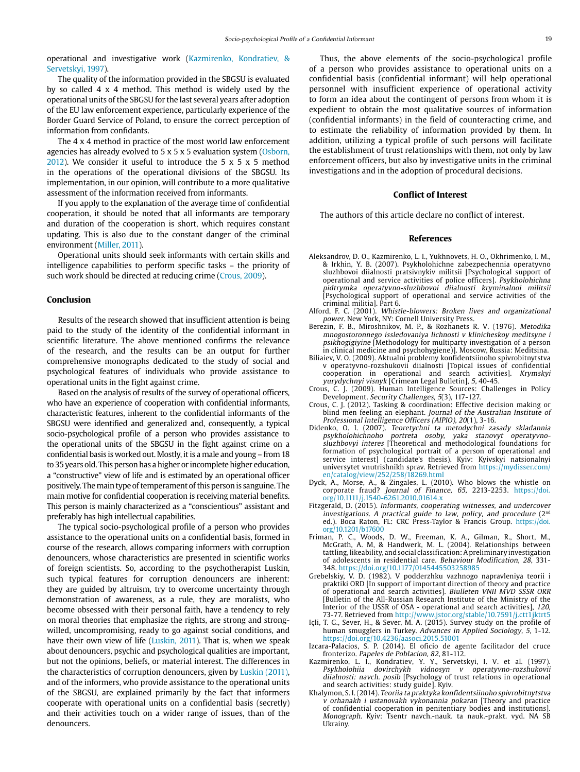operational and investigative work (Kazmirenko, Kondratiev, & Servetskyi, 1997).

The quality of the information provided in the SBGSU is evaluated by so called 4 x 4 method. This method is widely used by the operational units of the SBGSU for the last several years after adoption of the EU law enforcement experience, particularly experience of the Border Guard Service of Poland, to ensure the correct perception of information from confidants.

The 4 x 4 method in practice of the most world law enforcement agencies has already evolved to 5 x 5 x 5 evaluation system (Osborn, 2012). We consider it useful to introduce the 5 x 5 x 5 method in the operations of the operational divisions of the SBGSU. Its implementation, in our opinion, will contribute to a more qualitative assessment of the information received from informants.

If you apply to the explanation of the average time of confidential cooperation, it should be noted that all informants are temporary and duration of the cooperation is short, which requires constant updating. This is also due to the constant danger of the criminal environment (Miller, 2011).

Operational units should seek informants with certain skills and intelligence capabilities to perform specific tasks – the priority of such work should be directed at reducing crime (Crous, 2009).

# **Conclusion**

Results of the research showed that insufficient attention is being paid to the study of the identity of the confidential informant in scientific literature. The above mentioned confirms the relevance of the research, and the results can be an output for further comprehensive monographs dedicated to the study of social and psychological features of individuals who provide assistance to operational units in the fight against crime.

Based on the analysis of results of the survey of operational officers, who have an experience of cooperation with confidential informants, characteristic features, inherent to the confidential informants of the SBGSU were identified and generalized and, consequently, a typical socio-psychological profile of a person who provides assistance to the operational units of the SBGSU in the fight against crime on a confidential basis is worked out. Mostly, it is a male and young – from 18 to 35 years old. This person has a higher or incomplete higher education, a "constructive" view of life and is estimated by an operational officer positively. The main type of temperament of this person is sanguine. The main motive for confidential cooperation is receiving material benefits. This person is mainly characterized as a "conscientious" assistant and preferably has high intellectual capabilities.

The typical socio-psychological profile of a person who provides assistance to the operational units on a confidential basis, formed in course of the research, allows comparing informers with corruption denouncers, whose characteristics are presented in scientific works of foreign scientists. So, according to the psychotherapist Luskin, such typical features for corruption denouncers are inherent: they are guided by altruism, try to overcome uncertainty through demonstration of awareness, as a rule, they are moralists, who become obsessed with their personal faith, have a tendency to rely on moral theories that emphasize the rights, are strong and strongwilled, uncompromising, ready to go against social conditions, and have their own view of life (Luskin, 2011). That is, when we speak about denouncers, psychic and psychological qualities are important, but not the opinions, beliefs, or material interest. The differences in the characteristics of corruption denouncers, given by Luskin (2011), and of the informers, who provide assistance to the operational units of the SBGSU, are explained primarily by the fact that informers cooperate with operational units on a confidential basis (secretly) and their activities touch on a wider range of issues, than of the denouncers.

Thus, the above elements of the socio-psychological profile of a person who provides assistance to operational units on a confidential basis (confidential informant) will help operational personnel with insufficient experience of operational activity to form an idea about the contingent of persons from whom it is expedient to obtain the most qualitative sources of information (confidential informants) in the field of counteracting crime, and to estimate the reliability of information provided by them. In addition, utilizing a typical profile of such persons will facilitate the establishment of trust relationships with them, not only by law enforcement officers, but also by investigative units in the criminal investigations and in the adoption of procedural decisions.

#### **Conflict of Interest**

The authors of this article declare no conflict of interest.

## **References**

- Aleksandrov, D. O., Kazmirenko, L. I., Yukhnovets, H. O., Okhrimenko, I. M., & Irkhin, Y. B. (2007). Psykholohichne zabezpechennia operatyvno sluzhbovoi diialnosti pratsivnykiv militsii [Psychological support of operational and service activities of police officers]. Psykholohichna pidtrymka operatyvno-sluzhbovoi diialnosti kryminalnoi militsii [Psychological support of operational and service activities of the criminal militia]. Part 6.
- Alford, F. C. (2001). Whistle-blowers: Broken lives and organizational power. New York, NY: Cornell University Press.
- Berezin, F. B., Miroshnikov, M. P., & Rozhanets R. V. (1976). Metodika mnogostoronnego issledovaniya lichnosti v klinicheskoy meditsyne i psikhogigiyine [Methodology for multiparty investigation of a person in clinical medicine and psychohygiene)]. Moscow, Russia: Meditsina.
- Biliaiev, V. O. (2009). Aktualni problemy konfidentsiinoho spivrobitnytstva v operatyvno-rozshukovii diialnosti [Topical issues of confidential cooperation in operational and search activities]. Krymskyi yurydychnyi visnyk [Crimean Legal Bulletin], 5, 40-45.
- Crous, C. J. (2009). Human Intelligence Sources: Challenges in Policy Development. Security Challenges, 5(3), 117-127.
- Crous, C. J. (2012). Tasking & coordination: Effective decision making or blind men feeling an elephant. Journal of the Australian Institute of Professional Intelligence Officers (AIPIO), 20(1), 3-16.
- Didenko, O. I. (2007). Teoretychni ta metodychni zasady skladannia portreta osoby, yaka stanovyt operatyvnosluzhbovyi interes [Theoretical and methodological foundations for formation of psychological portrait of a person of operational and service interest] (candidate's thesis). Kyiv: Kyivskyi natsionalnyi universytet vnutrishnikh sprav. Retrieved from [https://mydisser.com/](https://mydisser.com/en/catalog/view/252/258/18269.html) [en/catalog/view/252/258/18269.html](https://mydisser.com/en/catalog/view/252/258/18269.html)
- Dyck, A., Morse, A., & Zingales, L. (2010). Who blows the whistle on corporate fraud? Journal of Finance, 65, 2213-2253. [https://doi.](https://doi.org/10.1111/j.1540-6261.2010.01614.x) [org/10.1111/j.1540-6261.2010.01614.x](https://doi.org/10.1111/j.1540-6261.2010.01614.x)
- Fitzgerald, D. (2015). Informants, cooperating witnesses, and undercover investigations. A practical guide to law, policy, and procedure  $(2^{nd}$ ed.). Boca Raton, FL: CRC Press-Taylor & Francis Group. [https://doi.](https://doi.org/10.1201/b17600
) [org/10.1201/b17600](https://doi.org/10.1201/b17600
)
- Friman, P. C., Woods, D. W., Freeman, K. A., Gilman, R., Short, M., McGrath, A. M, & Handwerk, M. L. (2004). Relationships between tattling, likeability, and social classification: A preliminary investigation of adolescents in residential care. Behaviour Modification, 28, 331- 348. https://doi.org/10.1177/0145445503258985
- Grebelskiy, V. D. (1982). V podderzhku vazhnogo napravleniya teorii i praktiki ORD [In support of important direction of theory and practice of operational and search activities]. Biulleten VNII MVD SSSR ORR [Bulletin of the All-Russian Research Institute of the Ministry of the Interior of the USSR of OSA - operational and search activities], 120, 73-77. Retrieved from <http://www.jstor.org/stable/10.7591/j.ctt1jktrt5>
- Içli, T. G., Sever, H., & Sever, M. A. (2015). Survey study on the profile of human smugglers in Turkey. Advances in Applied Sociology, 5, 1-12. https://doi.org/10.4236/aasoci.2015.51001
- Izcara-Palacios, S. P. (2014). El oficio de agente facilitador del cruce fronterizo. Papeles de Poblacion, 82, 81-112.
- Kazmirenko, L. I., Kondratiev, Y. Y., Servetskyi, I. V. et al. (1997). Psykholohiia dovirchykh vidnosyn v operatyvno-rozshukovii diialnosti: navch. posib [Psychology of trust relations in operational and search activities: study guide]. Kyiv.
- Khalymon, S. I. (2014). Teoriia ta praktyka konfidentsiinoho spivrobitnytstva v orhanakh i ustanovakh vykonannia pokaran [Theory and practice of confidential cooperation in penitentiary bodies and institutions]. Monograph. Kyiv: Tsentr navch.-nauk. ta nauk.-prakt. vyd. NA SB Ukrainy.